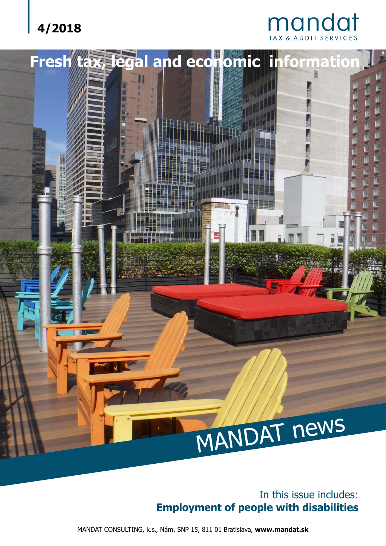## **4/2018**

# **Mandat**



#### In this issue includes: **Employment of people with disabilities**

MANDAT CONSULTING, k.s., Nám. SNP 15, 811 01 Bratislava, **www.mandat.sk**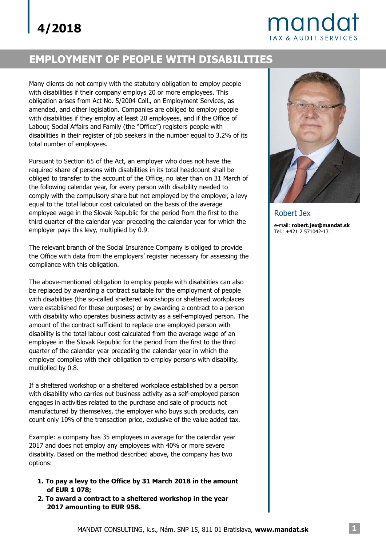# mandat **TAX & AUDIT SERVICES**

### **EMPLOYMENT OF PEOPLE WITH DISABILITIES**

Many clients do not comply with the statutory obligation to employ people with disabilities if their company employs 20 or more employees. This obligation arises from Act No. 5/2004 Coll., on Employment Services, as amended, and other legislation. Companies are obliged to employ people with disabilities if they employ at least 20 employees, and if the Office of Labour, Social Affairs and Family (the "Office") registers people with disabilities in their register of job seekers in the number equal to 3.2% of its total number of employees.

Pursuant to Section 65 of the Act, an employer who does not have the required share of persons with disabilities in its total headcount shall be obliged to transfer to the account of the Office, no later than on 31 March of the following calendar year, for every person with disability needed to comply with the compulsory share but not employed by the employer, a levy equal to the total labour cost calculated on the basis of the average employee wage in the Slovak Republic for the period from the first to the third quarter of the calendar year preceding the calendar year for which the employer pays this levy, multiplied by 0.9.

The relevant branch of the Social Insurance Company is obliged to provide the Office with data from the employers' register necessary for assessing the compliance with this obligation.

The above-mentioned obligation to employ people with disabilities can also be replaced by awarding a contract suitable for the employment of people with disabilities (the so-called sheltered workshops or sheltered workplaces were established for these purposes) or by awarding a contract to a person with disability who operates business activity as a self-employed person. The amount of the contract sufficient to replace one employed person with disability is the total labour cost calculated from the average wage of an employee in the Slovak Republic for the period from the first to the third quarter of the calendar year preceding the calendar year in which the employer complies with their obligation to employ persons with disability, multiplied by 0.8.

If a sheltered workshop or a sheltered workplace established by a person with disability who carries out business activity as a self-employed person engages in activities related to the purchase and sale of products not manufactured by themselves, the employer who buys such products, can count only 10% of the transaction price, exclusive of the value added tax.

Example: a company has 35 employees in average for the calendar year 2017 and does not employ any employees with 40% or more severe disability. Based on the method described above, the company has two options:

- **1. To pay a levy to the Office by 31 March 2018 in the amount of EUR 1 078;**
- **2. To award a contract to a sheltered workshop in the year 2017 amounting to EUR 958.**



Robert Jex e-mail: **robert.jex@mandat.sk**Tel.: +421 2 571042-13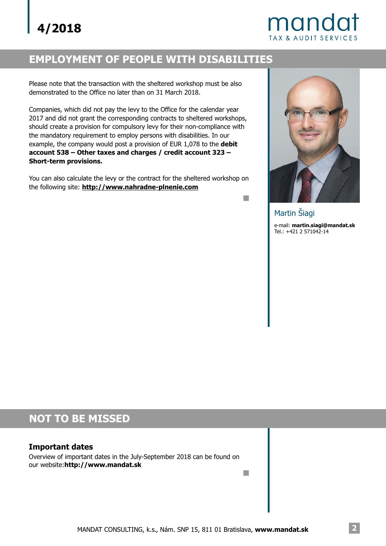# mandat TAX & AUDIT SERVICES

#### **EMPLOYMENT OF PEOPLE WITH DISABILITIES**

Please note that the transaction with the sheltered workshop must be also demonstrated to the Office no later than on 31 March 2018.

Companies, which did not pay the levy to the Office for the calendar year 2017 and did not grant the corresponding contracts to sheltered workshops, should create a provision for compulsory levy for their non-compliance with the mandatory requirement to employ persons with disabilities. In our example, the company would post a provision of EUR 1,078 to the **debit account 538 – Other taxes and charges / credit account 323 – Short-term provisions.**

You can also calculate the levy or the contract for the sheltered workshop on the following site: **http://www.nahradne-plnenie.com** 



e-mail: **martin.siagi@mandat.sk** Tel.: +421 2 571042-14 Martin Šiagi

n

**I** 

## **NOT TO BE MISSED**

#### **Important dates**

Overview of important dates in the July-September 2018 can be found on our website:**http://www.mandat.sk**